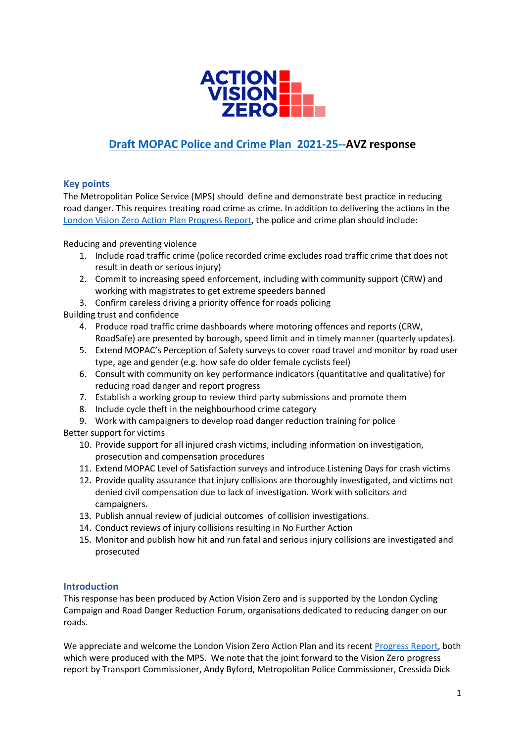

# **[Draft MOPAC Police and Crime Plan](https://www.london.gov.uk/publications/police-and-crime-plan-2021-25) 2021-25--AVZ response**

# **Key points**

The Metropolitan Police Service (MPS) should define and demonstrate best practice in reducing road danger. This requires treating road crime as crime. In addition to delivering the actions in the [London Vision Zero Action Plan Progress Report,](https://content.tfl.gov.uk/vision-zero-action-plan-progress-report-2021.pdf) the police and crime plan should include:

Reducing and preventing violence

- 1. Include road traffic crime (police recorded crime excludes road traffic crime that does not result in death or serious injury)
- 2. Commit to increasing speed enforcement, including with community support (CRW) and working with magistrates to get extreme speeders banned
- 3. Confirm careless driving a priority offence for roads policing

Building trust and confidence

- 4. Produce road traffic crime dashboards where motoring offences and reports (CRW, RoadSafe) are presented by borough, speed limit and in timely manner (quarterly updates).
- 5. Extend MOPAC's Perception of Safety surveys to cover road travel and monitor by road user type, age and gender (e.g. how safe do older female cyclists feel)
- 6. Consult with community on key performance indicators (quantitative and qualitative) for reducing road danger and report progress
- 7. Establish a working group to review third party submissions and promote them
- 8. Include cycle theft in the neighbourhood crime category
- 9. Work with campaigners to develop road danger reduction training for police

Better support for victims

- 10. Provide support for all injured crash victims, including information on investigation, prosecution and compensation procedures
- 11. Extend MOPAC Level of Satisfaction surveys and introduce Listening Days for crash victims
- 12. Provide quality assurance that injury collisions are thoroughly investigated, and victims not denied civil compensation due to lack of investigation. Work with solicitors and campaigners.
- 13. Publish annual review of judicial outcomes of collision investigations.
- 14. Conduct reviews of injury collisions resulting in No Further Action
- 15. Monitor and publish how hit and run fatal and serious injury collisions are investigated and prosecuted

# **Introduction**

This response has been produced by Action Vision Zero and is supported by the London Cycling Campaign and Road Danger Reduction Forum, organisations dedicated to reducing danger on our roads.

We appreciate and welcome the London Vision Zero Action Plan and its recent [Progress Report,](https://content.tfl.gov.uk/vision-zero-action-plan-progress-report-2021.pdf) both which were produced with the MPS. We note that the joint forward to the Vision Zero progress report by Transport Commissioner, Andy Byford, Metropolitan Police Commissioner, Cressida Dick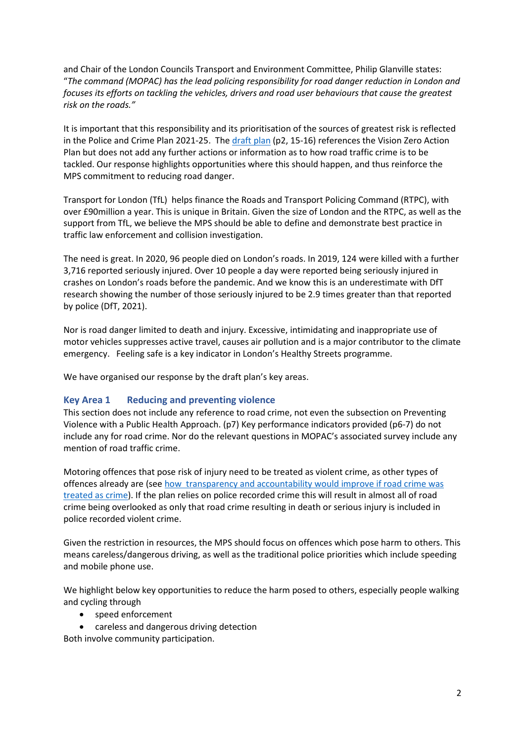and Chair of the London Councils Transport and Environment Committee, Philip Glanville states: "*The command (MOPAC) has the lead policing responsibility for road danger reduction in London and focuses its efforts on tackling the vehicles, drivers and road user behaviours that cause the greatest risk on the roads."*

It is important that this responsibility and its prioritisation of the sources of greatest risk is reflected in the Police and Crime Plan 2021-25. The [draft plan](https://www.london.gov.uk/publications/police-and-crime-plan-2021-25) (p2, 15-16) references the Vision Zero Action Plan but does not add any further actions or information as to how road traffic crime is to be tackled. Our response highlights opportunities where this should happen, and thus reinforce the MPS commitment to reducing road danger.

Transport for London (TfL) helps finance the Roads and Transport Policing Command (RTPC), with over £90million a year. This is unique in Britain. Given the size of London and the RTPC, as well as the support from TfL, we believe the MPS should be able to define and demonstrate best practice in traffic law enforcement and collision investigation.

The need is great. In 2020, 96 people died on London's roads. In 2019, 124 were killed with a further 3,716 reported seriously injured. Over 10 people a day were reported being seriously injured in crashes on London's roads before the pandemic. And we know this is an underestimate with DfT research showing the number of those seriously injured to be 2.9 times greater than that reported by police (DfT, 2021).

Nor is road danger limited to death and injury. Excessive, intimidating and inappropriate use of motor vehicles suppresses active travel, causes air pollution and is a major contributor to the climate emergency. Feeling safe is a key indicator in London's Healthy Streets programme.

We have organised our response by the draft plan's key areas.

# **Key Area 1 Reducing and preventing violence**

This section does not include any reference to road crime, not even the subsection on Preventing Violence with a Public Health Approach. (p7) Key performance indicators provided (p6-7) do not include any for road crime. Nor do the relevant questions in MOPAC's associated survey include any mention of road traffic crime.

Motoring offences that pose risk of injury need to be treated as violent crime, as other types of offences already are (se[e how transparency and accountability would improve if road crime was](https://actionvisionzero.org/2021/04/26/avz-blog-transparency-and-accountability-how-these-would-improve-if-road-crime-was-treated-as-real-crime/)  [treated as crime\)](https://actionvisionzero.org/2021/04/26/avz-blog-transparency-and-accountability-how-these-would-improve-if-road-crime-was-treated-as-real-crime/). If the plan relies on police recorded crime this will result in almost all of road crime being overlooked as only that road crime resulting in death or serious injury is included in police recorded violent crime.

Given the restriction in resources, the MPS should focus on offences which pose harm to others. This means careless/dangerous driving, as well as the traditional police priorities which include speeding and mobile phone use.

We highlight below key opportunities to reduce the harm posed to others, especially people walking and cycling through

- speed enforcement
- careless and dangerous driving detection

Both involve community participation.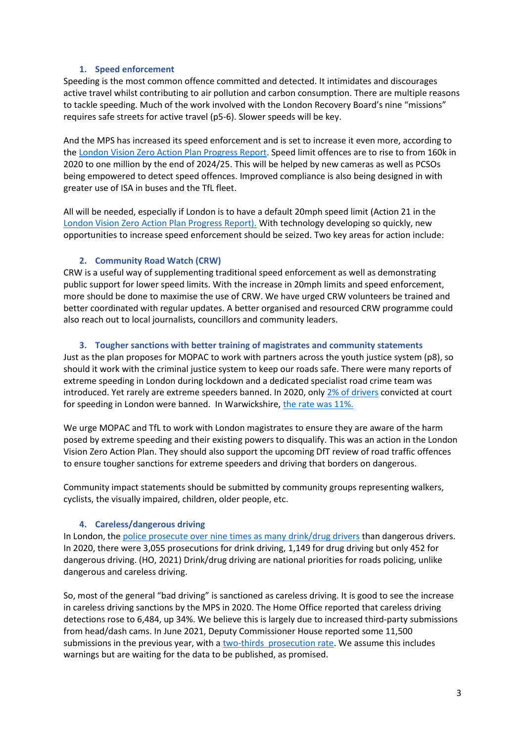# **1. Speed enforcement**

Speeding is the most common offence committed and detected. It intimidates and discourages active travel whilst contributing to air pollution and carbon consumption. There are multiple reasons to tackle speeding. Much of the work involved with the London Recovery Board's nine "missions" requires safe streets for active travel (p5-6). Slower speeds will be key.

And the MPS has increased its speed enforcement and is set to increase it even more, according to th[e London Vision Zero Action Plan Progress Report.](https://content.tfl.gov.uk/vision-zero-action-plan-progress-report-2021.pdf) Speed limit offences are to rise to from 160k in 2020 to one million by the end of 2024/25. This will be helped by new cameras as well as PCSOs being empowered to detect speed offences. Improved compliance is also being designed in with greater use of ISA in buses and the TfL fleet.

All will be needed, especially if London is to have a default 20mph speed limit (Action 21 in the [London Vision Zero Action Plan Progress Report\).](https://content.tfl.gov.uk/vision-zero-action-plan-progress-report-2021.pdf) With technology developing so quickly, new opportunities to increase speed enforcement should be seized. Two key areas for action include:

## **2. Community Road Watch (CRW)**

CRW is a useful way of supplementing traditional speed enforcement as well as demonstrating public support for lower speed limits. With the increase in 20mph limits and speed enforcement, more should be done to maximise the use of CRW. We have urged CRW volunteers be trained and better coordinated with regular updates. A better organised and resourced CRW programme could also reach out to local journalists, councillors and community leaders.

## **3. Tougher sanctions with better training of magistrates and community statements**

Just as the plan proposes for MOPAC to work with partners across the youth justice system (p8), so should it work with the criminal justice system to keep our roads safe. There were many reports of extreme speeding in London during lockdown and a dedicated specialist road crime team was introduced. Yet rarely are extreme speeders banned. In 2020, only [2% of drivers](https://actionvisionzero.org/wp-content/uploads/2021/06/AVZBlog-DrivingBansCourts-29Jun21.pdf) convicted at court for speeding in London were banned. In Warwickshire, [the rate was 11%.](https://actionvisionzero.org/wp-content/uploads/2021/06/AVZBlog-DrivingBansCourts-29Jun21.pdf)

We urge MOPAC and TfL to work with London magistrates to ensure they are aware of the harm posed by extreme speeding and their existing powers to disqualify. This was an action in the London Vision Zero Action Plan. They should also support the upcoming DfT review of road traffic offences to ensure tougher sanctions for extreme speeders and driving that borders on dangerous.

Community impact statements should be submitted by community groups representing walkers, cyclists, the visually impaired, children, older people, etc.

#### **4. Careless/dangerous driving**

In London, the police prosecute over nine [times as many drink/drug drivers](https://actionvisionzero.org/wp-content/uploads/2021/07/AVZ-Motoring-offences-at-court-London.pdf) than dangerous drivers. In 2020, there were 3,055 prosecutions for drink driving, 1,149 for drug driving but only 452 for dangerous driving. (HO, 2021) Drink/drug driving are national priorities for roads policing, unlike dangerous and careless driving.

So, most of the general "bad driving" is sanctioned as careless driving. It is good to see the increase in careless driving sanctions by the MPS in 2020. The Home Office reported that careless driving detections rose to 6,484, up 34%. We believe this is largely due to increased third-party submissions from head/dash cams. In June 2021, Deputy Commissioner House reported some 11,500 submissions in the previous year, with [a two-thirds prosecution rate.](https://www.london.gov.uk/about-us/londonassembly/meetings/documents/s91846/Minutes%20-%20Appendix%201%20-%20MPS%20and%20MOPAC.pdf) We assume this includes warnings but are waiting for the data to be published, as promised.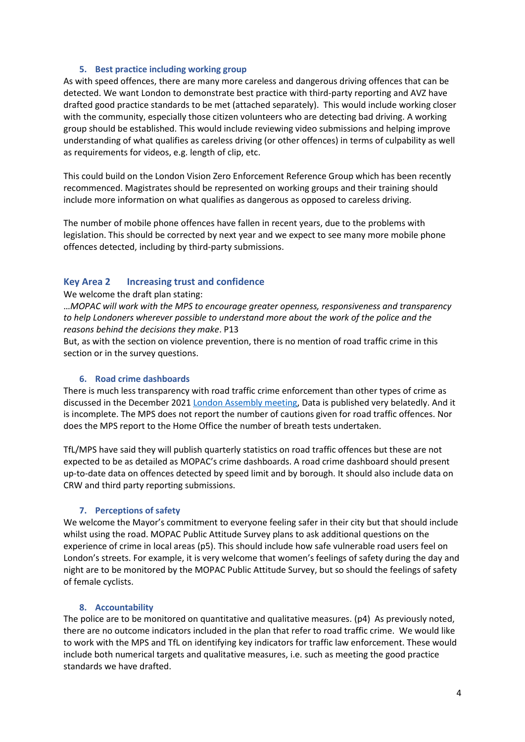## **5. Best practice including working group**

As with speed offences, there are many more careless and dangerous driving offences that can be detected. We want London to demonstrate best practice with third-party reporting and AVZ have drafted good practice standards to be met (attached separately). This would include working closer with the community, especially those citizen volunteers who are detecting bad driving. A working group should be established. This would include reviewing video submissions and helping improve understanding of what qualifies as careless driving (or other offences) in terms of culpability as well as requirements for videos, e.g. length of clip, etc.

This could build on the London Vision Zero Enforcement Reference Group which has been recently recommenced. Magistrates should be represented on working groups and their training should include more information on what qualifies as dangerous as opposed to careless driving.

The number of mobile phone offences have fallen in recent years, due to the problems with legislation. This should be corrected by next year and we expect to see many more mobile phone offences detected, including by third-party submissions.

# **Key Area 2 Increasing trust and confidence**

#### We welcome the draft plan stating:

…*MOPAC will work with the MPS to encourage greater openness, responsiveness and transparency to help Londoners wherever possible to understand more about the work of the police and the reasons behind the decisions they make*. P13

But, as with the section on violence prevention, there is no mention of road traffic crime in this section or in the survey questions.

#### **6. Road crime dashboards**

There is much less transparency with road traffic crime enforcement than other types of crime as discussed in the December 2021 [London Assembly meeting,](https://www.london.gov.uk/about-us/londonassembly/meetings/documents/b23729/Minutes%20-%20Appendix%201%20-%20Transcript%20of%20Agenda%20Item%203%20Thursday%2002-Dec-2021%2010.00%20London%20Assembly%20Ple.pdf?T=9) Data is published very belatedly. And it is incomplete. The MPS does not report the number of cautions given for road traffic offences. Nor does the MPS report to the Home Office the number of breath tests undertaken.

TfL/MPS have said they will publish quarterly statistics on road traffic offences but these are not expected to be as detailed as MOPAC's crime dashboards. A road crime dashboard should present up-to-date data on offences detected by speed limit and by borough. It should also include data on CRW and third party reporting submissions.

#### **7. Perceptions of safety**

We welcome the Mayor's commitment to everyone feeling safer in their city but that should include whilst using the road. MOPAC Public Attitude Survey plans to ask additional questions on the experience of crime in local areas (p5). This should include how safe vulnerable road users feel on London's streets. For example, it is very welcome that women's feelings of safety during the day and night are to be monitored by the MOPAC Public Attitude Survey, but so should the feelings of safety of female cyclists.

#### **8. Accountability**

The police are to be monitored on quantitative and qualitative measures. (p4) As previously noted, there are no outcome indicators included in the plan that refer to road traffic crime. We would like to work with the MPS and TfL on identifying key indicators for traffic law enforcement. These would include both numerical targets and qualitative measures, i.e. such as meeting the good practice standards we have drafted.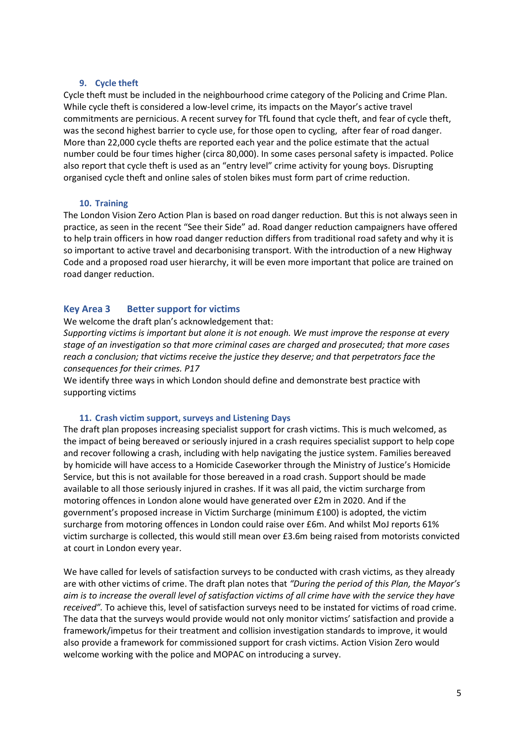## **9. Cycle theft**

Cycle theft must be included in the neighbourhood crime category of the Policing and Crime Plan. While cycle theft is considered a low-level crime, its impacts on the Mayor's active travel commitments are pernicious. A recent survey for TfL found that cycle theft, and fear of cycle theft, was the second highest barrier to cycle use, for those open to cycling, after fear of road danger. More than 22,000 cycle thefts are reported each year and the police estimate that the actual number could be four times higher (circa 80,000). In some cases personal safety is impacted. Police also report that cycle theft is used as an "entry level" crime activity for young boys. Disrupting organised cycle theft and online sales of stolen bikes must form part of crime reduction.

#### **10. Training**

The London Vision Zero Action Plan is based on road danger reduction. But this is not always seen in practice, as seen in the recent "See their Side" ad. Road danger reduction campaigners have offered to help train officers in how road danger reduction differs from traditional road safety and why it is so important to active travel and decarbonising transport. With the introduction of a new Highway Code and a proposed road user hierarchy, it will be even more important that police are trained on road danger reduction.

## **Key Area 3 Better support for victims**

#### We welcome the draft plan's acknowledgement that:

*Supporting victims is important but alone it is not enough. We must improve the response at every stage of an investigation so that more criminal cases are charged and prosecuted; that more cases reach a conclusion; that victims receive the justice they deserve; and that perpetrators face the consequences for their crimes. P17*

We identify three ways in which London should define and demonstrate best practice with supporting victims

#### **11. Crash victim support, surveys and Listening Days**

The draft plan proposes increasing specialist support for crash victims. This is much welcomed, as the impact of being bereaved or seriously injured in a crash requires specialist support to help cope and recover following a crash, including with help navigating the justice system. Families bereaved by homicide will have access to a Homicide Caseworker through the Ministry of Justice's Homicide Service, but this is not available for those bereaved in a road crash. Support should be made available to all those seriously injured in crashes. If it was all paid, the victim surcharge from motoring offences in London alone would have generated over £2m in 2020. And if the government's proposed increase in Victim Surcharge (minimum £100) is adopted, the victim surcharge from motoring offences in London could raise over £6m. And whilst MoJ reports 61% victim surcharge is collected, this would still mean over £3.6m being raised from motorists convicted at court in London every year.

We have called for levels of satisfaction surveys to be conducted with crash victims, as they already are with other victims of crime. The draft plan notes that *"During the period of this Plan, the Mayor's aim is to increase the overall level of satisfaction victims of all crime have with the service they have received".* To achieve this, level of satisfaction surveys need to be instated for victims of road crime. The data that the surveys would provide would not only monitor victims' satisfaction and provide a framework/impetus for their treatment and collision investigation standards to improve, it would also provide a framework for commissioned support for crash victims. Action Vision Zero would welcome working with the police and MOPAC on introducing a survey.